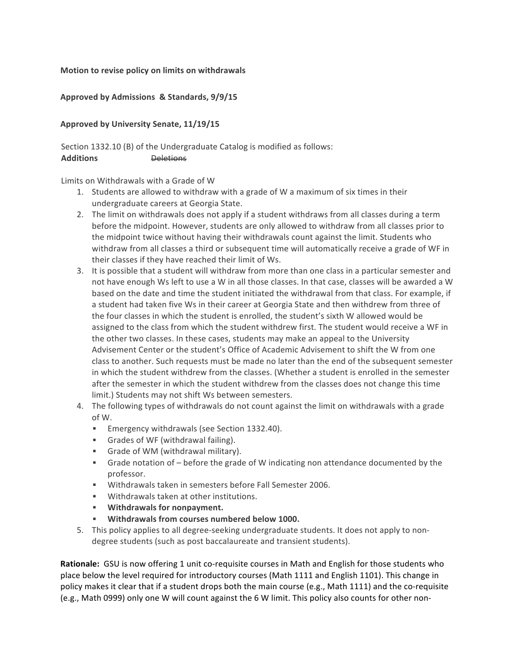## **Motion to revise policy on limits on withdrawals**

## Approved by Admissions & Standards, 9/9/15

## **Approved by University Senate, 11/19/15**

Section 1332.10 (B) of the Undergraduate Catalog is modified as follows: **Additions** Deletions

Limits on Withdrawals with a Grade of W

- 1. Students are allowed to withdraw with a grade of W a maximum of six times in their undergraduate careers at Georgia State.
- 2. The limit on withdrawals does not apply if a student withdraws from all classes during a term before the midpoint. However, students are only allowed to withdraw from all classes prior to the midpoint twice without having their withdrawals count against the limit. Students who withdraw from all classes a third or subsequent time will automatically receive a grade of WF in their classes if they have reached their limit of Ws.
- 3. It is possible that a student will withdraw from more than one class in a particular semester and not have enough Ws left to use a W in all those classes. In that case, classes will be awarded a W based on the date and time the student initiated the withdrawal from that class. For example, if a student had taken five Ws in their career at Georgia State and then withdrew from three of the four classes in which the student is enrolled, the student's sixth W allowed would be assigned to the class from which the student withdrew first. The student would receive a WF in the other two classes. In these cases, students may make an appeal to the University Advisement Center or the student's Office of Academic Advisement to shift the W from one class to another. Such requests must be made no later than the end of the subsequent semester in which the student withdrew from the classes. (Whether a student is enrolled in the semester after the semester in which the student withdrew from the classes does not change this time limit.) Students may not shift Ws between semesters.
- 4. The following types of withdrawals do not count against the limit on withdrawals with a grade of W.
	- Emergency withdrawals (see Section 1332.40).
	- **•** Grades of WF (withdrawal failing).
	- **•** Grade of WM (withdrawal military).
	- Grade notation of before the grade of W indicating non attendance documented by the professor.
	- Withdrawals taken in semesters before Fall Semester 2006.
	- Withdrawals taken at other institutions.
	- **EXECUTE:** Withdrawals for nonpayment.
	- **Withdrawals from courses numbered below 1000.**
- 5. This policy applies to all degree-seeking undergraduate students. It does not apply to nondegree students (such as post baccalaureate and transient students).

**Rationale:** GSU is now offering 1 unit co-requisite courses in Math and English for those students who place below the level required for introductory courses (Math 1111 and English 1101). This change in policy makes it clear that if a student drops both the main course (e.g., Math 1111) and the co-requisite (e.g., Math 0999) only one W will count against the 6 W limit. This policy also counts for other non